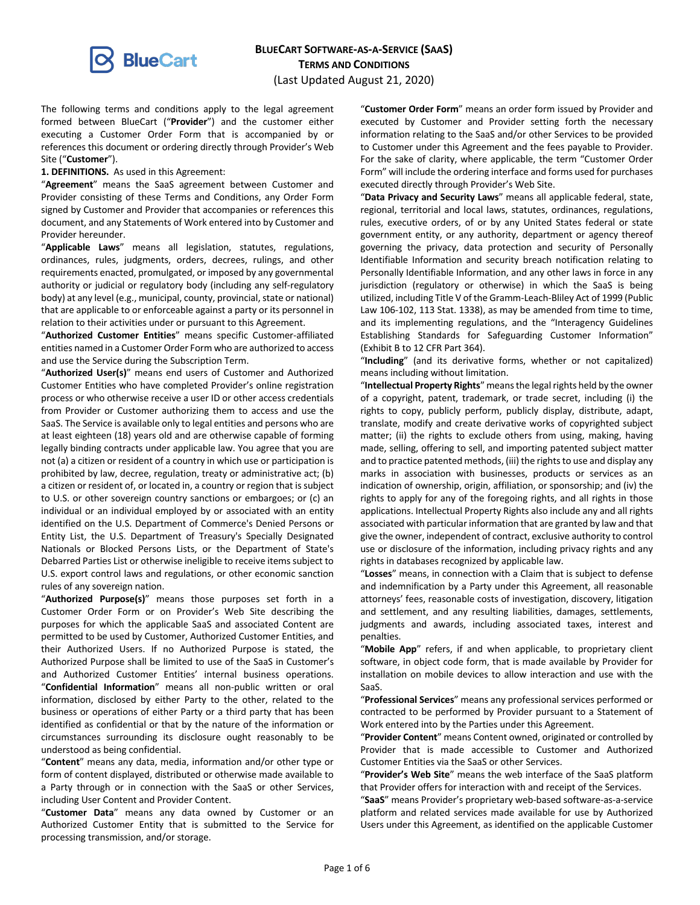

# **BLUECART SOFTWARE-AS-A-SERVICE (SAAS) TERMS AND CONDITIONS**

(Last Updated August 21, 2020)

The following terms and conditions apply to the legal agreement formed between BlueCart ("**Provider**") and the customer either executing a Customer Order Form that is accompanied by or references this document or ordering directly through Provider's Web Site ("**Customer**").

### **1. DEFINITIONS.** As used in this Agreement:

"**Agreement**" means the SaaS agreement between Customer and Provider consisting of these Terms and Conditions, any Order Form signed by Customer and Provider that accompanies or references this document, and any Statements of Work entered into by Customer and Provider hereunder.

"**Applicable Laws**" means all legislation, statutes, regulations, ordinances, rules, judgments, orders, decrees, rulings, and other requirements enacted, promulgated, or imposed by any governmental authority or judicial or regulatory body (including any self-regulatory body) at any level (e.g., municipal, county, provincial, state or national) that are applicable to or enforceable against a party or its personnel in relation to their activities under or pursuant to this Agreement.

"**Authorized Customer Entities**" means specific Customer-affiliated entities named in a Customer Order Form who are authorized to access and use the Service during the Subscription Term.

"**Authorized User(s)**" means end users of Customer and Authorized Customer Entities who have completed Provider's online registration process or who otherwise receive a user ID or other access credentials from Provider or Customer authorizing them to access and use the SaaS. The Service is available only to legal entities and persons who are at least eighteen (18) years old and are otherwise capable of forming legally binding contracts under applicable law. You agree that you are not (a) a citizen or resident of a country in which use or participation is prohibited by law, decree, regulation, treaty or administrative act; (b) a citizen or resident of, or located in, a country or region that is subject to U.S. or other sovereign country sanctions or embargoes; or (c) an individual or an individual employed by or associated with an entity identified on the U.S. Department of Commerce's Denied Persons or Entity List, the U.S. Department of Treasury's Specially Designated Nationals or Blocked Persons Lists, or the Department of State's Debarred Parties List or otherwise ineligible to receive items subject to U.S. export control laws and regulations, or other economic sanction rules of any sovereign nation.

"**Authorized Purpose(s)**" means those purposes set forth in a Customer Order Form or on Provider's Web Site describing the purposes for which the applicable SaaS and associated Content are permitted to be used by Customer, Authorized Customer Entities, and their Authorized Users. If no Authorized Purpose is stated, the Authorized Purpose shall be limited to use of the SaaS in Customer's and Authorized Customer Entities' internal business operations. "**Confidential Information**" means all non-public written or oral information, disclosed by either Party to the other, related to the business or operations of either Party or a third party that has been identified as confidential or that by the nature of the information or circumstances surrounding its disclosure ought reasonably to be understood as being confidential.

"**Content**" means any data, media, information and/or other type or form of content displayed, distributed or otherwise made available to a Party through or in connection with the SaaS or other Services, including User Content and Provider Content.

"**Customer Data**" means any data owned by Customer or an Authorized Customer Entity that is submitted to the Service for processing transmission, and/or storage.

"**Customer Order Form**" means an order form issued by Provider and executed by Customer and Provider setting forth the necessary information relating to the SaaS and/or other Services to be provided to Customer under this Agreement and the fees payable to Provider. For the sake of clarity, where applicable, the term "Customer Order Form" will include the ordering interface and forms used for purchases executed directly through Provider's Web Site.

"**Data Privacy and Security Laws**" means all applicable federal, state, regional, territorial and local laws, statutes, ordinances, regulations, rules, executive orders, of or by any United States federal or state government entity, or any authority, department or agency thereof governing the privacy, data protection and security of Personally Identifiable Information and security breach notification relating to Personally Identifiable Information, and any other laws in force in any jurisdiction (regulatory or otherwise) in which the SaaS is being utilized, including Title V of the Gramm-Leach-Bliley Act of 1999 (Public Law 106-102, 113 Stat. 1338), as may be amended from time to time, and its implementing regulations, and the "Interagency Guidelines Establishing Standards for Safeguarding Customer Information" (Exhibit B to 12 CFR Part 364).

"**Including**" (and its derivative forms, whether or not capitalized) means including without limitation.

"**Intellectual Property Rights**" means the legal rights held by the owner of a copyright, patent, trademark, or trade secret, including (i) the rights to copy, publicly perform, publicly display, distribute, adapt, translate, modify and create derivative works of copyrighted subject matter; (ii) the rights to exclude others from using, making, having made, selling, offering to sell, and importing patented subject matter and to practice patented methods, (iii) the rights to use and display any marks in association with businesses, products or services as an indication of ownership, origin, affiliation, or sponsorship; and (iv) the rights to apply for any of the foregoing rights, and all rights in those applications. Intellectual Property Rights also include any and all rights associated with particular information that are granted by law and that give the owner, independent of contract, exclusive authority to control use or disclosure of the information, including privacy rights and any rights in databases recognized by applicable law.

"**Losses**" means, in connection with a Claim that is subject to defense and indemnification by a Party under this Agreement, all reasonable attorneys' fees, reasonable costs of investigation, discovery, litigation and settlement, and any resulting liabilities, damages, settlements, judgments and awards, including associated taxes, interest and penalties.

"**Mobile App**" refers, if and when applicable, to proprietary client software, in object code form, that is made available by Provider for installation on mobile devices to allow interaction and use with the SaaS.

"**Professional Services**" means any professional services performed or contracted to be performed by Provider pursuant to a Statement of Work entered into by the Parties under this Agreement.

"**Provider Content**" means Content owned, originated or controlled by Provider that is made accessible to Customer and Authorized Customer Entities via the SaaS or other Services.

"**Provider's Web Site**" means the web interface of the SaaS platform that Provider offers for interaction with and receipt of the Services.

"**SaaS**" means Provider's proprietary web-based software-as-a-service platform and related services made available for use by Authorized Users under this Agreement, as identified on the applicable Customer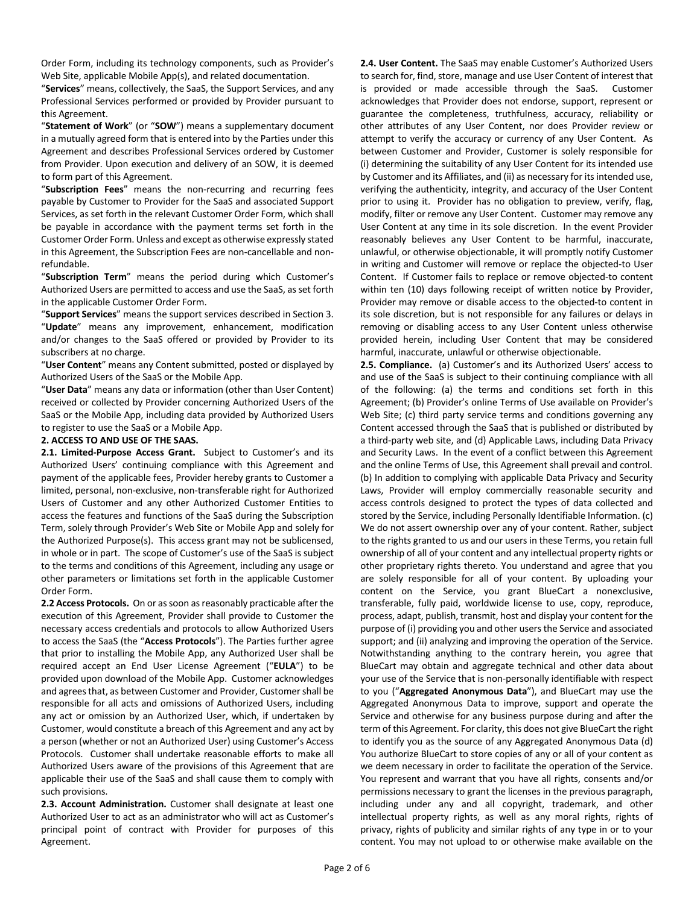Order Form, including its technology components, such as Provider's Web Site, applicable Mobile App(s), and related documentation.

"**Services**" means, collectively, the SaaS, the Support Services, and any Professional Services performed or provided by Provider pursuant to this Agreement.

"**Statement of Work**" (or "**SOW**") means a supplementary document in a mutually agreed form that is entered into by the Parties under this Agreement and describes Professional Services ordered by Customer from Provider. Upon execution and delivery of an SOW, it is deemed to form part of this Agreement.

"**Subscription Fees**" means the non-recurring and recurring fees payable by Customer to Provider for the SaaS and associated Support Services, as set forth in the relevant Customer Order Form, which shall be payable in accordance with the payment terms set forth in the Customer Order Form. Unless and except as otherwise expressly stated in this Agreement, the Subscription Fees are non-cancellable and nonrefundable.

"**Subscription Term**" means the period during which Customer's Authorized Users are permitted to access and use the SaaS, as set forth in the applicable Customer Order Form.

"**Support Services**" means the support services described in Section 3. "**Update**" means any improvement, enhancement, modification and/or changes to the SaaS offered or provided by Provider to its subscribers at no charge.

"**User Content**" means any Content submitted, posted or displayed by Authorized Users of the SaaS or the Mobile App.

"**User Data**" means any data or information (other than User Content) received or collected by Provider concerning Authorized Users of the SaaS or the Mobile App, including data provided by Authorized Users to register to use the SaaS or a Mobile App.

## **2. ACCESS TO AND USE OF THE SAAS.**

**2.1. Limited-Purpose Access Grant.** Subject to Customer's and its Authorized Users' continuing compliance with this Agreement and payment of the applicable fees, Provider hereby grants to Customer a limited, personal, non-exclusive, non-transferable right for Authorized Users of Customer and any other Authorized Customer Entities to access the features and functions of the SaaS during the Subscription Term, solely through Provider's Web Site or Mobile App and solely for the Authorized Purpose(s). This access grant may not be sublicensed, in whole or in part. The scope of Customer's use of the SaaS is subject to the terms and conditions of this Agreement, including any usage or other parameters or limitations set forth in the applicable Customer Order Form.

**2.2 Access Protocols.** On or as soon as reasonably practicable after the execution of this Agreement, Provider shall provide to Customer the necessary access credentials and protocols to allow Authorized Users to access the SaaS (the "**Access Protocols**"). The Parties further agree that prior to installing the Mobile App, any Authorized User shall be required accept an End User License Agreement ("**EULA**") to be provided upon download of the Mobile App. Customer acknowledges and agrees that, as between Customer and Provider, Customer shall be responsible for all acts and omissions of Authorized Users, including any act or omission by an Authorized User, which, if undertaken by Customer, would constitute a breach of this Agreement and any act by a person (whether or not an Authorized User) using Customer's Access Protocols. Customer shall undertake reasonable efforts to make all Authorized Users aware of the provisions of this Agreement that are applicable their use of the SaaS and shall cause them to comply with such provisions.

**2.3. Account Administration.** Customer shall designate at least one Authorized User to act as an administrator who will act as Customer's principal point of contract with Provider for purposes of this Agreement.

**2.4. User Content.** The SaaS may enable Customer's Authorized Users to search for, find, store, manage and use User Content of interest that is provided or made accessible through the SaaS. Customer acknowledges that Provider does not endorse, support, represent or guarantee the completeness, truthfulness, accuracy, reliability or other attributes of any User Content, nor does Provider review or attempt to verify the accuracy or currency of any User Content. As between Customer and Provider, Customer is solely responsible for (i) determining the suitability of any User Content for its intended use by Customer and its Affiliates, and (ii) as necessary for its intended use, verifying the authenticity, integrity, and accuracy of the User Content prior to using it. Provider has no obligation to preview, verify, flag, modify, filter or remove any User Content. Customer may remove any User Content at any time in its sole discretion. In the event Provider reasonably believes any User Content to be harmful, inaccurate, unlawful, or otherwise objectionable, it will promptly notify Customer in writing and Customer will remove or replace the objected-to User Content. If Customer fails to replace or remove objected-to content within ten (10) days following receipt of written notice by Provider, Provider may remove or disable access to the objected-to content in its sole discretion, but is not responsible for any failures or delays in removing or disabling access to any User Content unless otherwise provided herein, including User Content that may be considered harmful, inaccurate, unlawful or otherwise objectionable.

**2.5. Compliance.** (a) Customer's and its Authorized Users' access to and use of the SaaS is subject to their continuing compliance with all of the following: (a) the terms and conditions set forth in this Agreement; (b) Provider's online Terms of Use available on Provider's Web Site; (c) third party service terms and conditions governing any Content accessed through the SaaS that is published or distributed by a third-party web site, and (d) Applicable Laws, including Data Privacy and Security Laws. In the event of a conflict between this Agreement and the online Terms of Use, this Agreement shall prevail and control. (b) In addition to complying with applicable Data Privacy and Security Laws, Provider will employ commercially reasonable security and access controls designed to protect the types of data collected and stored by the Service, including Personally Identifiable Information. (c) We do not assert ownership over any of your content. Rather, subject to the rights granted to us and our users in these Terms, you retain full ownership of all of your content and any intellectual property rights or other proprietary rights thereto. You understand and agree that you are solely responsible for all of your content. By uploading your content on the Service, you grant BlueCart a nonexclusive, transferable, fully paid, worldwide license to use, copy, reproduce, process, adapt, publish, transmit, host and display your content for the purpose of (i) providing you and other users the Service and associated support; and (ii) analyzing and improving the operation of the Service. Notwithstanding anything to the contrary herein, you agree that BlueCart may obtain and aggregate technical and other data about your use of the Service that is non-personally identifiable with respect to you ("**Aggregated Anonymous Data**"), and BlueCart may use the Aggregated Anonymous Data to improve, support and operate the Service and otherwise for any business purpose during and after the term of this Agreement. For clarity, this does not give BlueCart the right to identify you as the source of any Aggregated Anonymous Data (d) You authorize BlueCart to store copies of any or all of your content as we deem necessary in order to facilitate the operation of the Service. You represent and warrant that you have all rights, consents and/or permissions necessary to grant the licenses in the previous paragraph, including under any and all copyright, trademark, and other intellectual property rights, as well as any moral rights, rights of privacy, rights of publicity and similar rights of any type in or to your content. You may not upload to or otherwise make available on the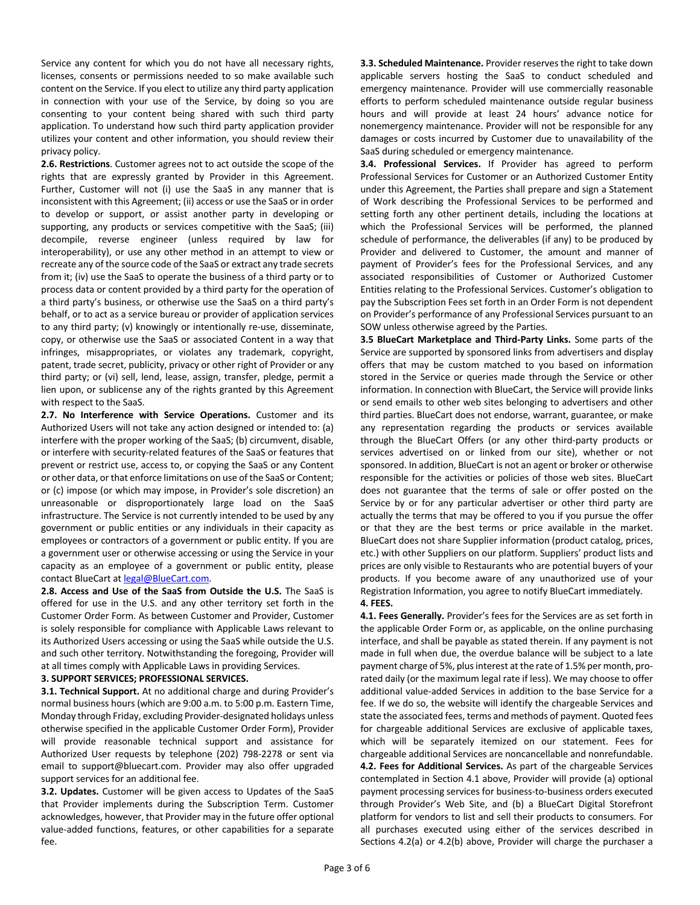Service any content for which you do not have all necessary rights, licenses, consents or permissions needed to so make available such content on the Service. If you elect to utilize any third party application in connection with your use of the Service, by doing so you are consenting to your content being shared with such third party application. To understand how such third party application provider utilizes your content and other information, you should review their privacy policy.

**2.6. Restrictions**. Customer agrees not to act outside the scope of the rights that are expressly granted by Provider in this Agreement. Further, Customer will not (i) use the SaaS in any manner that is inconsistent with this Agreement; (ii) access or use the SaaS or in order to develop or support, or assist another party in developing or supporting, any products or services competitive with the SaaS; (iii) decompile, reverse engineer (unless required by law for interoperability), or use any other method in an attempt to view or recreate any of the source code of the SaaS or extract any trade secrets from it; (iv) use the SaaS to operate the business of a third party or to process data or content provided by a third party for the operation of a third party's business, or otherwise use the SaaS on a third party's behalf, or to act as a service bureau or provider of application services to any third party; (v) knowingly or intentionally re-use, disseminate, copy, or otherwise use the SaaS or associated Content in a way that infringes, misappropriates, or violates any trademark, copyright, patent, trade secret, publicity, privacy or other right of Provider or any third party; or (vi) sell, lend, lease, assign, transfer, pledge, permit a lien upon, or sublicense any of the rights granted by this Agreement with respect to the SaaS.

**2.7. No Interference with Service Operations.** Customer and its Authorized Users will not take any action designed or intended to: (a) interfere with the proper working of the SaaS; (b) circumvent, disable, or interfere with security-related features of the SaaS or features that prevent or restrict use, access to, or copying the SaaS or any Content or other data, or that enforce limitations on use of the SaaS or Content; or (c) impose (or which may impose, in Provider's sole discretion) an unreasonable or disproportionately large load on the SaaS infrastructure. The Service is not currently intended to be used by any government or public entities or any individuals in their capacity as employees or contractors of a government or public entity. If you are a government user or otherwise accessing or using the Service in your capacity as an employee of a government or public entity, please contact BlueCart at legal@BlueCart.com.

**2.8. Access and Use of the SaaS from Outside the U.S.** The SaaS is offered for use in the U.S. and any other territory set forth in the Customer Order Form. As between Customer and Provider, Customer is solely responsible for compliance with Applicable Laws relevant to its Authorized Users accessing or using the SaaS while outside the U.S. and such other territory. Notwithstanding the foregoing, Provider will at all times comply with Applicable Laws in providing Services.

## **3. SUPPORT SERVICES; PROFESSIONAL SERVICES.**

**3.1. Technical Support.** At no additional charge and during Provider's normal business hours (which are 9:00 a.m. to 5:00 p.m. Eastern Time, Monday through Friday, excluding Provider-designated holidays unless otherwise specified in the applicable Customer Order Form), Provider will provide reasonable technical support and assistance for Authorized User requests by telephone (202) 798-2278 or sent via email to support@bluecart.com. Provider may also offer upgraded support services for an additional fee.

**3.2. Updates.** Customer will be given access to Updates of the SaaS that Provider implements during the Subscription Term. Customer acknowledges, however, that Provider may in the future offer optional value-added functions, features, or other capabilities for a separate fee.

**3.3. Scheduled Maintenance.** Provider reserves the right to take down applicable servers hosting the SaaS to conduct scheduled and emergency maintenance. Provider will use commercially reasonable efforts to perform scheduled maintenance outside regular business hours and will provide at least 24 hours' advance notice for nonemergency maintenance. Provider will not be responsible for any damages or costs incurred by Customer due to unavailability of the SaaS during scheduled or emergency maintenance.

**3.4. Professional Services.** If Provider has agreed to perform Professional Services for Customer or an Authorized Customer Entity under this Agreement, the Parties shall prepare and sign a Statement of Work describing the Professional Services to be performed and setting forth any other pertinent details, including the locations at which the Professional Services will be performed, the planned schedule of performance, the deliverables (if any) to be produced by Provider and delivered to Customer, the amount and manner of payment of Provider's fees for the Professional Services, and any associated responsibilities of Customer or Authorized Customer Entities relating to the Professional Services. Customer's obligation to pay the Subscription Fees set forth in an Order Form is not dependent on Provider's performance of any Professional Services pursuant to an SOW unless otherwise agreed by the Parties.

**3.5 BlueCart Marketplace and Third-Party Links.** Some parts of the Service are supported by sponsored links from advertisers and display offers that may be custom matched to you based on information stored in the Service or queries made through the Service or other information. In connection with BlueCart, the Service will provide links or send emails to other web sites belonging to advertisers and other third parties. BlueCart does not endorse, warrant, guarantee, or make any representation regarding the products or services available through the BlueCart Offers (or any other third-party products or services advertised on or linked from our site), whether or not sponsored. In addition, BlueCart is not an agent or broker or otherwise responsible for the activities or policies of those web sites. BlueCart does not guarantee that the terms of sale or offer posted on the Service by or for any particular advertiser or other third party are actually the terms that may be offered to you if you pursue the offer or that they are the best terms or price available in the market. BlueCart does not share Supplier information (product catalog, prices, etc.) with other Suppliers on our platform. Suppliers' product lists and prices are only visible to Restaurants who are potential buyers of your products. If you become aware of any unauthorized use of your Registration Information, you agree to notify BlueCart immediately. **4. FEES.** 

# **4.1. Fees Generally.** Provider's fees for the Services are as set forth in the applicable Order Form or, as applicable, on the online purchasing interface, and shall be payable as stated therein. If any payment is not made in full when due, the overdue balance will be subject to a late payment charge of 5%, plus interest at the rate of 1.5% per month, prorated daily (or the maximum legal rate if less). We may choose to offer additional value-added Services in addition to the base Service for a fee. If we do so, the website will identify the chargeable Services and state the associated fees, terms and methods of payment. Quoted fees for chargeable additional Services are exclusive of applicable taxes, which will be separately itemized on our statement. Fees for chargeable additional Services are noncancellable and nonrefundable. **4.2. Fees for Additional Services.** As part of the chargeable Services contemplated in Section 4.1 above, Provider will provide (a) optional payment processing services for business-to-business orders executed through Provider's Web Site, and (b) a BlueCart Digital Storefront platform for vendors to list and sell their products to consumers. For all purchases executed using either of the services described in Sections 4.2(a) or 4.2(b) above, Provider will charge the purchaser a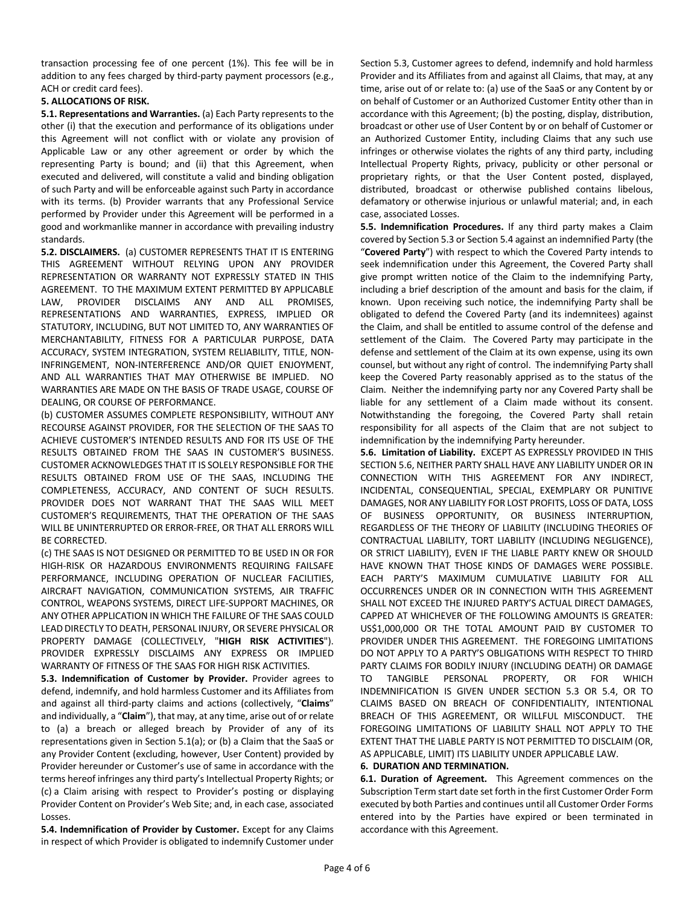transaction processing fee of one percent (1%). This fee will be in addition to any fees charged by third-party payment processors (e.g., ACH or credit card fees).

# **5. ALLOCATIONS OF RISK.**

**5.1. Representations and Warranties.** (a) Each Party represents to the other (i) that the execution and performance of its obligations under this Agreement will not conflict with or violate any provision of Applicable Law or any other agreement or order by which the representing Party is bound; and (ii) that this Agreement, when executed and delivered, will constitute a valid and binding obligation of such Party and will be enforceable against such Party in accordance with its terms. (b) Provider warrants that any Professional Service performed by Provider under this Agreement will be performed in a good and workmanlike manner in accordance with prevailing industry standards.

**5.2. DISCLAIMERS.** (a) CUSTOMER REPRESENTS THAT IT IS ENTERING THIS AGREEMENT WITHOUT RELYING UPON ANY PROVIDER REPRESENTATION OR WARRANTY NOT EXPRESSLY STATED IN THIS AGREEMENT. TO THE MAXIMUM EXTENT PERMITTED BY APPLICABLE LAW, PROVIDER DISCLAIMS ANY AND ALL PROMISES, REPRESENTATIONS AND WARRANTIES, EXPRESS, IMPLIED OR STATUTORY, INCLUDING, BUT NOT LIMITED TO, ANY WARRANTIES OF MERCHANTABILITY, FITNESS FOR A PARTICULAR PURPOSE, DATA ACCURACY, SYSTEM INTEGRATION, SYSTEM RELIABILITY, TITLE, NON-INFRINGEMENT, NON-INTERFERENCE AND/OR QUIET ENJOYMENT, AND ALL WARRANTIES THAT MAY OTHERWISE BE IMPLIED. NO WARRANTIES ARE MADE ON THE BASIS OF TRADE USAGE, COURSE OF DEALING, OR COURSE OF PERFORMANCE.

(b) CUSTOMER ASSUMES COMPLETE RESPONSIBILITY, WITHOUT ANY RECOURSE AGAINST PROVIDER, FOR THE SELECTION OF THE SAAS TO ACHIEVE CUSTOMER'S INTENDED RESULTS AND FOR ITS USE OF THE RESULTS OBTAINED FROM THE SAAS IN CUSTOMER'S BUSINESS. CUSTOMER ACKNOWLEDGES THAT IT IS SOLELY RESPONSIBLE FOR THE RESULTS OBTAINED FROM USE OF THE SAAS, INCLUDING THE COMPLETENESS, ACCURACY, AND CONTENT OF SUCH RESULTS. PROVIDER DOES NOT WARRANT THAT THE SAAS WILL MEET CUSTOMER'S REQUIREMENTS, THAT THE OPERATION OF THE SAAS WILL BE UNINTERRUPTED OR ERROR-FREE, OR THAT ALL ERRORS WILL BE CORRECTED.

(c) THE SAAS IS NOT DESIGNED OR PERMITTED TO BE USED IN OR FOR HIGH-RISK OR HAZARDOUS ENVIRONMENTS REQUIRING FAILSAFE PERFORMANCE, INCLUDING OPERATION OF NUCLEAR FACILITIES, AIRCRAFT NAVIGATION, COMMUNICATION SYSTEMS, AIR TRAFFIC CONTROL, WEAPONS SYSTEMS, DIRECT LIFE-SUPPORT MACHINES, OR ANY OTHER APPLICATION IN WHICH THE FAILURE OF THE SAAS COULD LEAD DIRECTLY TO DEATH, PERSONAL INJURY, OR SEVERE PHYSICAL OR PROPERTY DAMAGE (COLLECTIVELY, "**HIGH RISK ACTIVITIES**"). PROVIDER EXPRESSLY DISCLAIMS ANY EXPRESS OR IMPLIED WARRANTY OF FITNESS OF THE SAAS FOR HIGH RISK ACTIVITIES.

**5.3. Indemnification of Customer by Provider.** Provider agrees to defend, indemnify, and hold harmless Customer and its Affiliates from and against all third-party claims and actions (collectively, "**Claims**" and individually, a "**Claim**"), that may, at any time, arise out of or relate to (a) a breach or alleged breach by Provider of any of its representations given in Section 5.1(a); or (b) a Claim that the SaaS or any Provider Content (excluding, however, User Content) provided by Provider hereunder or Customer's use of same in accordance with the terms hereof infringes any third party's Intellectual Property Rights; or (c) a Claim arising with respect to Provider's posting or displaying Provider Content on Provider's Web Site; and, in each case, associated Losses.

**5.4. Indemnification of Provider by Customer.** Except for any Claims in respect of which Provider is obligated to indemnify Customer under Section 5.3, Customer agrees to defend, indemnify and hold harmless Provider and its Affiliates from and against all Claims, that may, at any time, arise out of or relate to: (a) use of the SaaS or any Content by or on behalf of Customer or an Authorized Customer Entity other than in accordance with this Agreement; (b) the posting, display, distribution, broadcast or other use of User Content by or on behalf of Customer or an Authorized Customer Entity, including Claims that any such use infringes or otherwise violates the rights of any third party, including Intellectual Property Rights, privacy, publicity or other personal or proprietary rights, or that the User Content posted, displayed, distributed, broadcast or otherwise published contains libelous, defamatory or otherwise injurious or unlawful material; and, in each case, associated Losses.

**5.5. Indemnification Procedures.** If any third party makes a Claim covered by Section 5.3 or Section 5.4 against an indemnified Party (the "**Covered Party**") with respect to which the Covered Party intends to seek indemnification under this Agreement, the Covered Party shall give prompt written notice of the Claim to the indemnifying Party, including a brief description of the amount and basis for the claim, if known. Upon receiving such notice, the indemnifying Party shall be obligated to defend the Covered Party (and its indemnitees) against the Claim, and shall be entitled to assume control of the defense and settlement of the Claim. The Covered Party may participate in the defense and settlement of the Claim at its own expense, using its own counsel, but without any right of control. The indemnifying Party shall keep the Covered Party reasonably apprised as to the status of the Claim. Neither the indemnifying party nor any Covered Party shall be liable for any settlement of a Claim made without its consent. Notwithstanding the foregoing, the Covered Party shall retain responsibility for all aspects of the Claim that are not subject to indemnification by the indemnifying Party hereunder.

**5.6. Limitation of Liability.** EXCEPT AS EXPRESSLY PROVIDED IN THIS SECTION 5.6, NEITHER PARTY SHALL HAVE ANY LIABILITY UNDER OR IN CONNECTION WITH THIS AGREEMENT FOR ANY INDIRECT, INCIDENTAL, CONSEQUENTIAL, SPECIAL, EXEMPLARY OR PUNITIVE DAMAGES, NOR ANY LIABILITY FOR LOST PROFITS, LOSS OF DATA, LOSS OF BUSINESS OPPORTUNITY, OR BUSINESS INTERRUPTION, REGARDLESS OF THE THEORY OF LIABILITY (INCLUDING THEORIES OF CONTRACTUAL LIABILITY, TORT LIABILITY (INCLUDING NEGLIGENCE), OR STRICT LIABILITY), EVEN IF THE LIABLE PARTY KNEW OR SHOULD HAVE KNOWN THAT THOSE KINDS OF DAMAGES WERE POSSIBLE. EACH PARTY'S MAXIMUM CUMULATIVE LIABILITY FOR ALL OCCURRENCES UNDER OR IN CONNECTION WITH THIS AGREEMENT SHALL NOT EXCEED THE INJURED PARTY'S ACTUAL DIRECT DAMAGES, CAPPED AT WHICHEVER OF THE FOLLOWING AMOUNTS IS GREATER: US\$1,000,000 OR THE TOTAL AMOUNT PAID BY CUSTOMER TO PROVIDER UNDER THIS AGREEMENT. THE FOREGOING LIMITATIONS DO NOT APPLY TO A PARTY'S OBLIGATIONS WITH RESPECT TO THIRD PARTY CLAIMS FOR BODILY INJURY (INCLUDING DEATH) OR DAMAGE TO TANGIBLE PERSONAL PROPERTY, OR FOR WHICH INDEMNIFICATION IS GIVEN UNDER SECTION 5.3 OR 5.4, OR TO CLAIMS BASED ON BREACH OF CONFIDENTIALITY, INTENTIONAL BREACH OF THIS AGREEMENT, OR WILLFUL MISCONDUCT. THE FOREGOING LIMITATIONS OF LIABILITY SHALL NOT APPLY TO THE EXTENT THAT THE LIABLE PARTY IS NOT PERMITTED TO DISCLAIM (OR, AS APPLICABLE, LIMIT) ITS LIABILITY UNDER APPLICABLE LAW.

# **6. DURATION AND TERMINATION.**

**6.1. Duration of Agreement.** This Agreement commences on the Subscription Term start date set forth in the first Customer Order Form executed by both Parties and continues until all Customer Order Forms entered into by the Parties have expired or been terminated in accordance with this Agreement.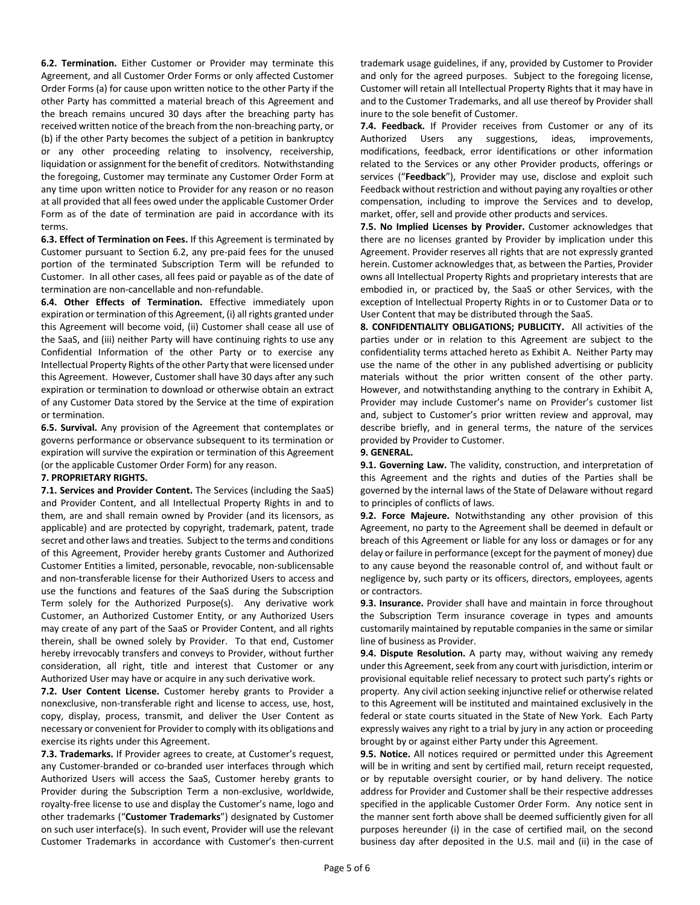**6.2. Termination.** Either Customer or Provider may terminate this Agreement, and all Customer Order Forms or only affected Customer Order Forms (a) for cause upon written notice to the other Party if the other Party has committed a material breach of this Agreement and the breach remains uncured 30 days after the breaching party has received written notice of the breach from the non-breaching party, or (b) if the other Party becomes the subject of a petition in bankruptcy or any other proceeding relating to insolvency, receivership, liquidation or assignment for the benefit of creditors. Notwithstanding the foregoing, Customer may terminate any Customer Order Form at any time upon written notice to Provider for any reason or no reason at all provided that all fees owed under the applicable Customer Order Form as of the date of termination are paid in accordance with its terms.

**6.3. Effect of Termination on Fees.** If this Agreement is terminated by Customer pursuant to Section 6.2, any pre-paid fees for the unused portion of the terminated Subscription Term will be refunded to Customer. In all other cases, all fees paid or payable as of the date of termination are non-cancellable and non-refundable.

**6.4. Other Effects of Termination.** Effective immediately upon expiration or termination of this Agreement, (i) all rights granted under this Agreement will become void, (ii) Customer shall cease all use of the SaaS, and (iii) neither Party will have continuing rights to use any Confidential Information of the other Party or to exercise any Intellectual Property Rights of the other Party that were licensed under this Agreement. However, Customer shall have 30 days after any such expiration or termination to download or otherwise obtain an extract of any Customer Data stored by the Service at the time of expiration or termination.

**6.5. Survival.** Any provision of the Agreement that contemplates or governs performance or observance subsequent to its termination or expiration will survive the expiration or termination of this Agreement (or the applicable Customer Order Form) for any reason.

## **7. PROPRIETARY RIGHTS.**

**7.1. Services and Provider Content.** The Services (including the SaaS) and Provider Content, and all Intellectual Property Rights in and to them, are and shall remain owned by Provider (and its licensors, as applicable) and are protected by copyright, trademark, patent, trade secret and other laws and treaties. Subject to the terms and conditions of this Agreement, Provider hereby grants Customer and Authorized Customer Entities a limited, personable, revocable, non-sublicensable and non-transferable license for their Authorized Users to access and use the functions and features of the SaaS during the Subscription Term solely for the Authorized Purpose(s). Any derivative work Customer, an Authorized Customer Entity, or any Authorized Users may create of any part of the SaaS or Provider Content, and all rights therein, shall be owned solely by Provider. To that end, Customer hereby irrevocably transfers and conveys to Provider, without further consideration, all right, title and interest that Customer or any Authorized User may have or acquire in any such derivative work.

**7.2. User Content License.** Customer hereby grants to Provider a nonexclusive, non-transferable right and license to access, use, host, copy, display, process, transmit, and deliver the User Content as necessary or convenient for Provider to comply with its obligations and exercise its rights under this Agreement.

**7.3. Trademarks.** If Provider agrees to create, at Customer's request, any Customer-branded or co-branded user interfaces through which Authorized Users will access the SaaS, Customer hereby grants to Provider during the Subscription Term a non-exclusive, worldwide, royalty-free license to use and display the Customer's name, logo and other trademarks ("**Customer Trademarks**") designated by Customer on such user interface(s). In such event, Provider will use the relevant Customer Trademarks in accordance with Customer's then-current trademark usage guidelines, if any, provided by Customer to Provider and only for the agreed purposes. Subject to the foregoing license, Customer will retain all Intellectual Property Rights that it may have in and to the Customer Trademarks, and all use thereof by Provider shall inure to the sole benefit of Customer.

**7.4. Feedback.** If Provider receives from Customer or any of its Authorized Users any suggestions, ideas, improvements, modifications, feedback, error identifications or other information related to the Services or any other Provider products, offerings or services ("**Feedback**"), Provider may use, disclose and exploit such Feedback without restriction and without paying any royalties or other compensation, including to improve the Services and to develop, market, offer, sell and provide other products and services.

**7.5. No Implied Licenses by Provider.** Customer acknowledges that there are no licenses granted by Provider by implication under this Agreement. Provider reserves all rights that are not expressly granted herein. Customer acknowledges that, as between the Parties, Provider owns all Intellectual Property Rights and proprietary interests that are embodied in, or practiced by, the SaaS or other Services, with the exception of Intellectual Property Rights in or to Customer Data or to User Content that may be distributed through the SaaS.

**8. CONFIDENTIALITY OBLIGATIONS; PUBLICITY.** All activities of the parties under or in relation to this Agreement are subject to the confidentiality terms attached hereto as Exhibit A. Neither Party may use the name of the other in any published advertising or publicity materials without the prior written consent of the other party. However, and notwithstanding anything to the contrary in Exhibit A, Provider may include Customer's name on Provider's customer list and, subject to Customer's prior written review and approval, may describe briefly, and in general terms, the nature of the services provided by Provider to Customer.

### **9. GENERAL.**

**9.1. Governing Law.** The validity, construction, and interpretation of this Agreement and the rights and duties of the Parties shall be governed by the internal laws of the State of Delaware without regard to principles of conflicts of laws.

**9.2. Force Majeure.** Notwithstanding any other provision of this Agreement, no party to the Agreement shall be deemed in default or breach of this Agreement or liable for any loss or damages or for any delay or failure in performance (except for the payment of money) due to any cause beyond the reasonable control of, and without fault or negligence by, such party or its officers, directors, employees, agents or contractors.

**9.3. Insurance.** Provider shall have and maintain in force throughout the Subscription Term insurance coverage in types and amounts customarily maintained by reputable companies in the same or similar line of business as Provider.

**9.4. Dispute Resolution.** A party may, without waiving any remedy under this Agreement, seek from any court with jurisdiction, interim or provisional equitable relief necessary to protect such party's rights or property. Any civil action seeking injunctive relief or otherwise related to this Agreement will be instituted and maintained exclusively in the federal or state courts situated in the State of New York. Each Party expressly waives any right to a trial by jury in any action or proceeding brought by or against either Party under this Agreement.

**9.5. Notice.** All notices required or permitted under this Agreement will be in writing and sent by certified mail, return receipt requested, or by reputable oversight courier, or by hand delivery. The notice address for Provider and Customer shall be their respective addresses specified in the applicable Customer Order Form. Any notice sent in the manner sent forth above shall be deemed sufficiently given for all purposes hereunder (i) in the case of certified mail, on the second business day after deposited in the U.S. mail and (ii) in the case of